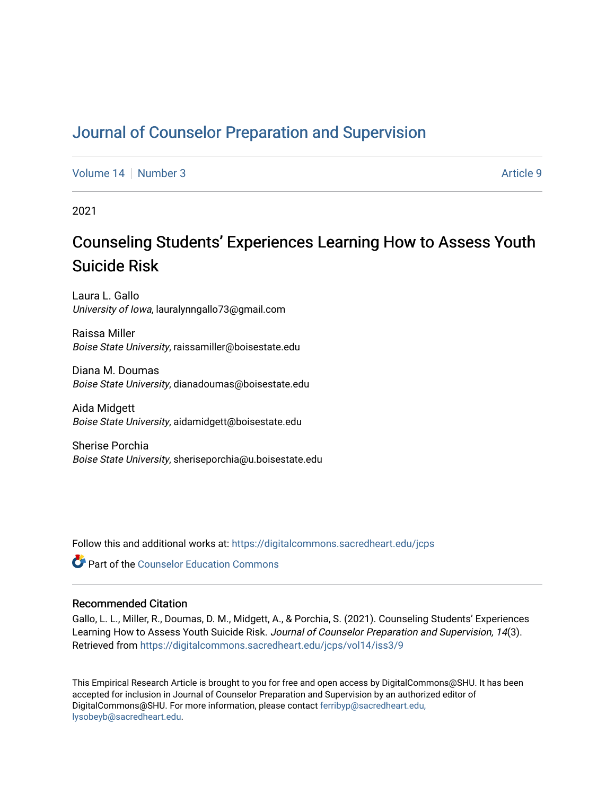# [Journal of Counselor Preparation and Supervision](https://digitalcommons.sacredheart.edu/jcps)

[Volume 14](https://digitalcommons.sacredheart.edu/jcps/vol14) | [Number 3](https://digitalcommons.sacredheart.edu/jcps/vol14/iss3) Article 9

2021

# Counseling Students' Experiences Learning How to Assess Youth Suicide Risk

Laura L. Gallo University of Iowa, lauralynngallo73@gmail.com

Raissa Miller Boise State University, raissamiller@boisestate.edu

Diana M. Doumas Boise State University, dianadoumas@boisestate.edu

Aida Midgett Boise State University, aidamidgett@boisestate.edu

Sherise Porchia Boise State University, sheriseporchia@u.boisestate.edu

Follow this and additional works at: [https://digitalcommons.sacredheart.edu/jcps](https://digitalcommons.sacredheart.edu/jcps?utm_source=digitalcommons.sacredheart.edu%2Fjcps%2Fvol14%2Fiss3%2F9&utm_medium=PDF&utm_campaign=PDFCoverPages) 

**C** Part of the Counselor Education Commons

### Recommended Citation

Gallo, L. L., Miller, R., Doumas, D. M., Midgett, A., & Porchia, S. (2021). Counseling Students' Experiences Learning How to Assess Youth Suicide Risk. Journal of Counselor Preparation and Supervision, 14(3). Retrieved from [https://digitalcommons.sacredheart.edu/jcps/vol14/iss3/9](https://digitalcommons.sacredheart.edu/jcps/vol14/iss3/9?utm_source=digitalcommons.sacredheart.edu%2Fjcps%2Fvol14%2Fiss3%2F9&utm_medium=PDF&utm_campaign=PDFCoverPages) 

This Empirical Research Article is brought to you for free and open access by DigitalCommons@SHU. It has been accepted for inclusion in Journal of Counselor Preparation and Supervision by an authorized editor of DigitalCommons@SHU. For more information, please contact [ferribyp@sacredheart.edu,](mailto:ferribyp@sacredheart.edu,%20lysobeyb@sacredheart.edu) [lysobeyb@sacredheart.edu](mailto:ferribyp@sacredheart.edu,%20lysobeyb@sacredheart.edu).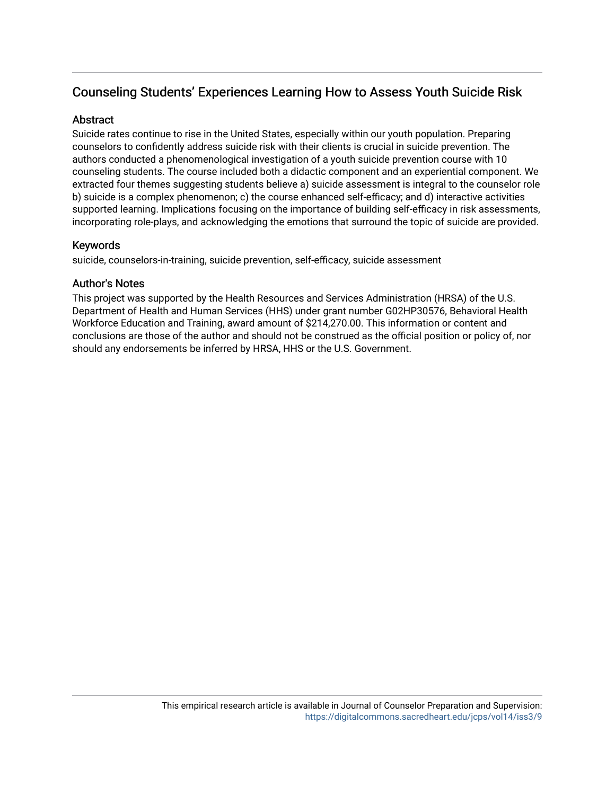# Counseling Students' Experiences Learning How to Assess Youth Suicide Risk

# **Abstract**

Suicide rates continue to rise in the United States, especially within our youth population. Preparing counselors to confidently address suicide risk with their clients is crucial in suicide prevention. The authors conducted a phenomenological investigation of a youth suicide prevention course with 10 counseling students. The course included both a didactic component and an experiential component. We extracted four themes suggesting students believe a) suicide assessment is integral to the counselor role b) suicide is a complex phenomenon; c) the course enhanced self-efficacy; and d) interactive activities supported learning. Implications focusing on the importance of building self-efficacy in risk assessments, incorporating role-plays, and acknowledging the emotions that surround the topic of suicide are provided.

# Keywords

suicide, counselors-in-training, suicide prevention, self-efficacy, suicide assessment

# Author's Notes

This project was supported by the Health Resources and Services Administration (HRSA) of the U.S. Department of Health and Human Services (HHS) under grant number G02HP30576, Behavioral Health Workforce Education and Training, award amount of \$214,270.00. This information or content and conclusions are those of the author and should not be construed as the official position or policy of, nor should any endorsements be inferred by HRSA, HHS or the U.S. Government.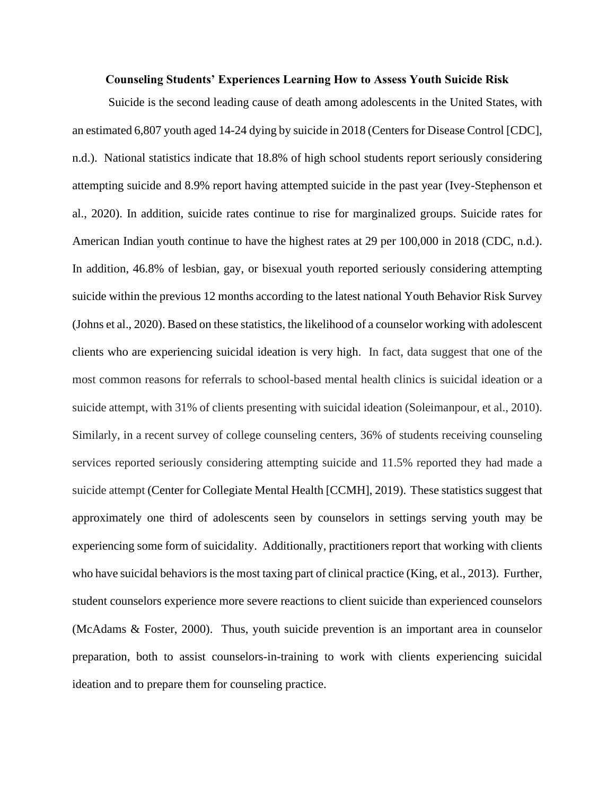### **Counseling Students' Experiences Learning How to Assess Youth Suicide Risk**

Suicide is the second leading cause of death among adolescents in the United States, with an estimated 6,807 youth aged 14-24 dying by suicide in 2018 (Centers for Disease Control [CDC], n.d.). National statistics indicate that 18.8% of high school students report seriously considering attempting suicide and 8.9% report having attempted suicide in the past year (Ivey-Stephenson et al., 2020). In addition, suicide rates continue to rise for marginalized groups. Suicide rates for American Indian youth continue to have the highest rates at 29 per 100,000 in 2018 (CDC, n.d.). In addition, 46.8% of lesbian, gay, or bisexual youth reported seriously considering attempting suicide within the previous 12 months according to the latest national Youth Behavior Risk Survey (Johns et al., 2020). Based on these statistics, the likelihood of a counselor working with adolescent clients who are experiencing suicidal ideation is very high. In fact, data suggest that one of the most common reasons for referrals to school-based mental health clinics is suicidal ideation or a suicide attempt, with 31% of clients presenting with suicidal ideation (Soleimanpour, et al., 2010). Similarly, in a recent survey of college counseling centers, 36% of students receiving counseling services reported seriously considering attempting suicide and 11.5% reported they had made a suicide attempt (Center for Collegiate Mental Health [CCMH], 2019). These statistics suggest that approximately one third of adolescents seen by counselors in settings serving youth may be experiencing some form of suicidality. Additionally, practitioners report that working with clients who have suicidal behaviors is the most taxing part of clinical practice (King, et al., 2013). Further, student counselors experience more severe reactions to client suicide than experienced counselors (McAdams & Foster, 2000). Thus, youth suicide prevention is an important area in counselor preparation, both to assist counselors-in-training to work with clients experiencing suicidal ideation and to prepare them for counseling practice.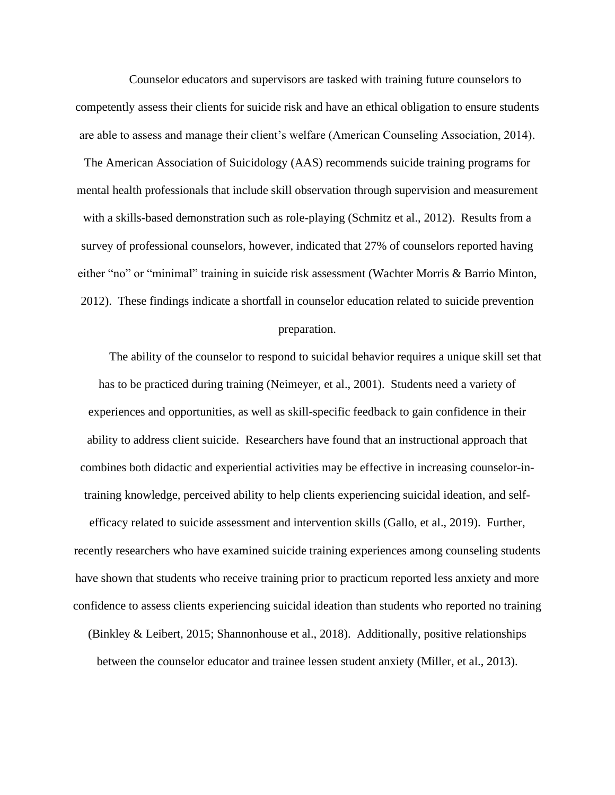Counselor educators and supervisors are tasked with training future counselors to competently assess their clients for suicide risk and have an ethical obligation to ensure students are able to assess and manage their client's welfare (American Counseling Association, 2014).

The American Association of Suicidology (AAS) recommends suicide training programs for mental health professionals that include skill observation through supervision and measurement with a skills-based demonstration such as role-playing (Schmitz et al., 2012). Results from a survey of professional counselors, however, indicated that 27% of counselors reported having either "no" or "minimal" training in suicide risk assessment (Wachter Morris & Barrio Minton, 2012). These findings indicate a shortfall in counselor education related to suicide prevention

### preparation.

The ability of the counselor to respond to suicidal behavior requires a unique skill set that has to be practiced during training (Neimeyer, et al., 2001). Students need a variety of experiences and opportunities, as well as skill-specific feedback to gain confidence in their ability to address client suicide. Researchers have found that an instructional approach that combines both didactic and experiential activities may be effective in increasing counselor-intraining knowledge, perceived ability to help clients experiencing suicidal ideation, and self-

efficacy related to suicide assessment and intervention skills (Gallo, et al., 2019). Further, recently researchers who have examined suicide training experiences among counseling students have shown that students who receive training prior to practicum reported less anxiety and more confidence to assess clients experiencing suicidal ideation than students who reported no training

(Binkley & Leibert, 2015; Shannonhouse et al., 2018). Additionally, positive relationships between the counselor educator and trainee lessen student anxiety (Miller, et al., 2013).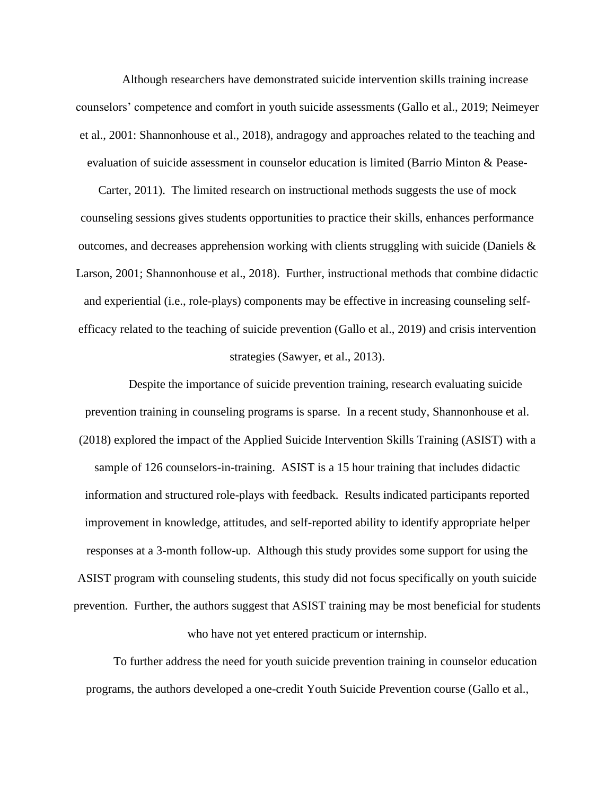Although researchers have demonstrated suicide intervention skills training increase counselors' competence and comfort in youth suicide assessments (Gallo et al., 2019; Neimeyer et al., 2001: Shannonhouse et al., 2018), andragogy and approaches related to the teaching and evaluation of suicide assessment in counselor education is limited (Barrio Minton & Pease-

Carter, 2011). The limited research on instructional methods suggests the use of mock counseling sessions gives students opportunities to practice their skills, enhances performance outcomes, and decreases apprehension working with clients struggling with suicide (Daniels  $\&$ Larson, 2001; Shannonhouse et al., 2018). Further, instructional methods that combine didactic and experiential (i.e., role-plays) components may be effective in increasing counseling selfefficacy related to the teaching of suicide prevention (Gallo et al., 2019) and crisis intervention strategies (Sawyer, et al., 2013).

Despite the importance of suicide prevention training, research evaluating suicide prevention training in counseling programs is sparse. In a recent study, Shannonhouse et al. (2018) explored the impact of the Applied Suicide Intervention Skills Training (ASIST) with a sample of 126 counselors-in-training. ASIST is a 15 hour training that includes didactic information and structured role-plays with feedback. Results indicated participants reported improvement in knowledge, attitudes, and self-reported ability to identify appropriate helper responses at a 3-month follow-up. Although this study provides some support for using the ASIST program with counseling students, this study did not focus specifically on youth suicide prevention. Further, the authors suggest that ASIST training may be most beneficial for students who have not yet entered practicum or internship.

To further address the need for youth suicide prevention training in counselor education programs, the authors developed a one-credit Youth Suicide Prevention course (Gallo et al.,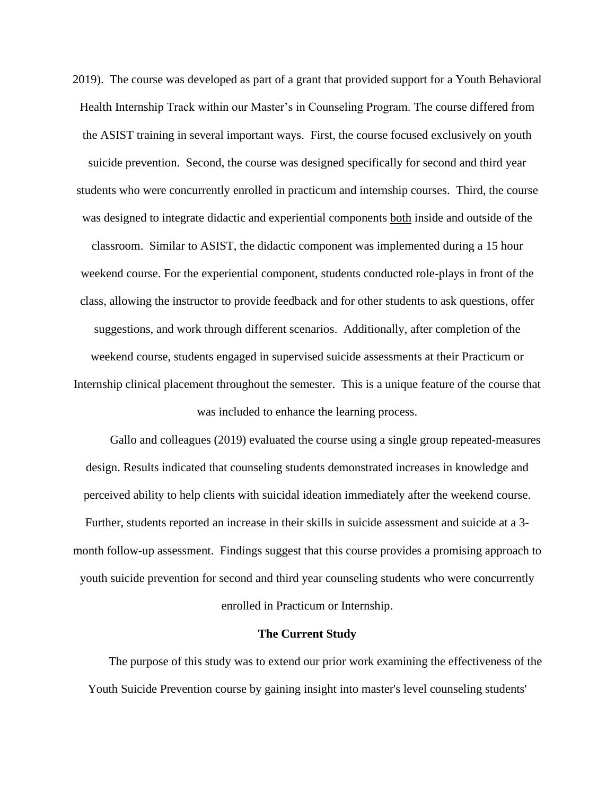2019). The course was developed as part of a grant that provided support for a Youth Behavioral Health Internship Track within our Master's in Counseling Program. The course differed from the ASIST training in several important ways. First, the course focused exclusively on youth suicide prevention. Second, the course was designed specifically for second and third year students who were concurrently enrolled in practicum and internship courses. Third, the course was designed to integrate didactic and experiential components both inside and outside of the classroom. Similar to ASIST, the didactic component was implemented during a 15 hour weekend course. For the experiential component, students conducted role-plays in front of the class, allowing the instructor to provide feedback and for other students to ask questions, offer suggestions, and work through different scenarios. Additionally, after completion of the weekend course, students engaged in supervised suicide assessments at their Practicum or Internship clinical placement throughout the semester. This is a unique feature of the course that was included to enhance the learning process.

Gallo and colleagues (2019) evaluated the course using a single group repeated-measures design. Results indicated that counseling students demonstrated increases in knowledge and perceived ability to help clients with suicidal ideation immediately after the weekend course. Further, students reported an increase in their skills in suicide assessment and suicide at a 3 month follow-up assessment. Findings suggest that this course provides a promising approach to youth suicide prevention for second and third year counseling students who were concurrently enrolled in Practicum or Internship.

#### **The Current Study**

The purpose of this study was to extend our prior work examining the effectiveness of the Youth Suicide Prevention course by gaining insight into master's level counseling students'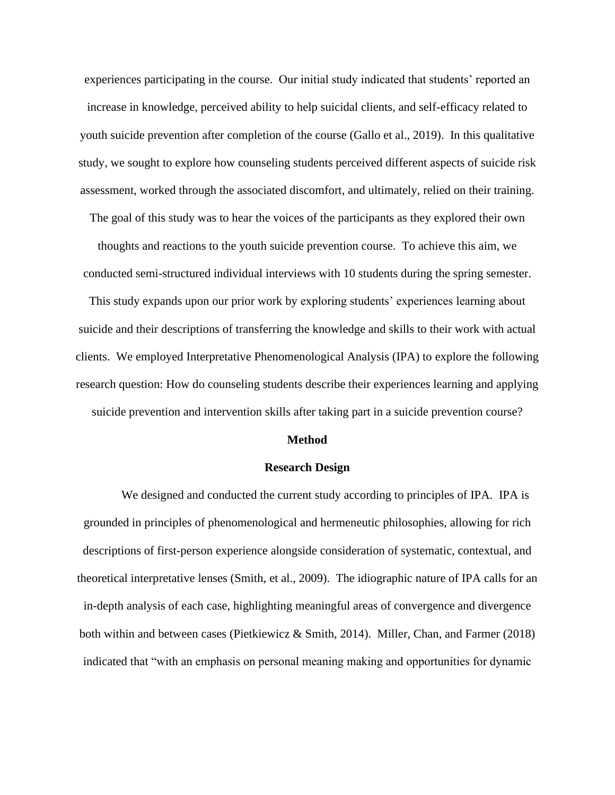experiences participating in the course. Our initial study indicated that students' reported an increase in knowledge, perceived ability to help suicidal clients, and self-efficacy related to youth suicide prevention after completion of the course (Gallo et al., 2019). In this qualitative study, we sought to explore how counseling students perceived different aspects of suicide risk assessment, worked through the associated discomfort, and ultimately, relied on their training.

The goal of this study was to hear the voices of the participants as they explored their own thoughts and reactions to the youth suicide prevention course. To achieve this aim, we conducted semi-structured individual interviews with 10 students during the spring semester.

This study expands upon our prior work by exploring students' experiences learning about suicide and their descriptions of transferring the knowledge and skills to their work with actual clients. We employed Interpretative Phenomenological Analysis (IPA) to explore the following research question: How do counseling students describe their experiences learning and applying suicide prevention and intervention skills after taking part in a suicide prevention course?

#### **Method**

# **Research Design**

We designed and conducted the current study according to principles of IPA. IPA is grounded in principles of phenomenological and hermeneutic philosophies, allowing for rich descriptions of first-person experience alongside consideration of systematic, contextual, and theoretical interpretative lenses (Smith, et al., 2009). The idiographic nature of IPA calls for an in-depth analysis of each case, highlighting meaningful areas of convergence and divergence both within and between cases (Pietkiewicz & Smith, 2014). Miller, Chan, and Farmer (2018) indicated that "with an emphasis on personal meaning making and opportunities for dynamic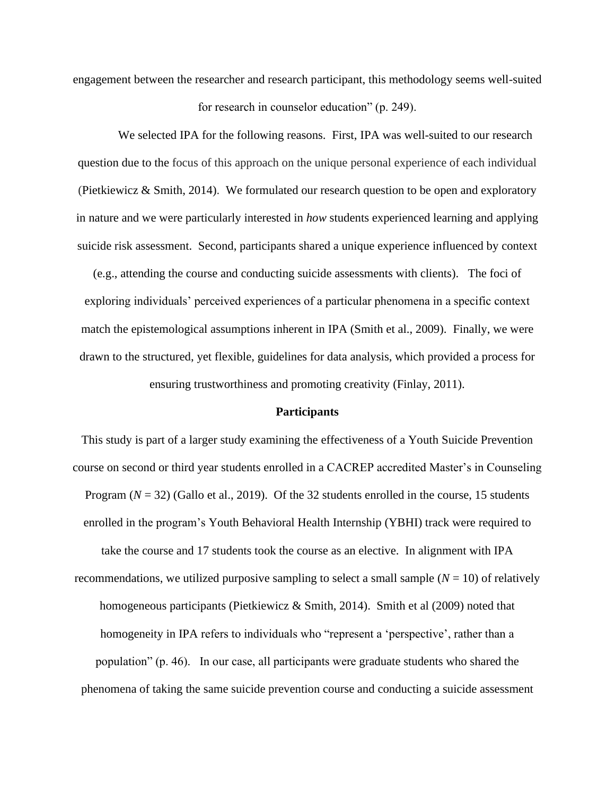engagement between the researcher and research participant, this methodology seems well-suited

for research in counselor education" (p. 249).

We selected IPA for the following reasons. First, IPA was well-suited to our research question due to the focus of this approach on the unique personal experience of each individual (Pietkiewicz & Smith, 2014). We formulated our research question to be open and exploratory in nature and we were particularly interested in *how* students experienced learning and applying suicide risk assessment. Second, participants shared a unique experience influenced by context

(e.g., attending the course and conducting suicide assessments with clients). The foci of exploring individuals' perceived experiences of a particular phenomena in a specific context match the epistemological assumptions inherent in IPA (Smith et al., 2009). Finally, we were drawn to the structured, yet flexible, guidelines for data analysis, which provided a process for ensuring trustworthiness and promoting creativity (Finlay, 2011).

### **Participants**

This study is part of a larger study examining the effectiveness of a Youth Suicide Prevention course on second or third year students enrolled in a CACREP accredited Master's in Counseling Program ( $N = 32$ ) (Gallo et al., 2019). Of the 32 students enrolled in the course, 15 students enrolled in the program's Youth Behavioral Health Internship (YBHI) track were required to take the course and 17 students took the course as an elective. In alignment with IPA recommendations, we utilized purposive sampling to select a small sample  $(N = 10)$  of relatively homogeneous participants (Pietkiewicz & Smith, 2014). Smith et al (2009) noted that homogeneity in IPA refers to individuals who "represent a 'perspective', rather than a population" (p. 46). In our case, all participants were graduate students who shared the phenomena of taking the same suicide prevention course and conducting a suicide assessment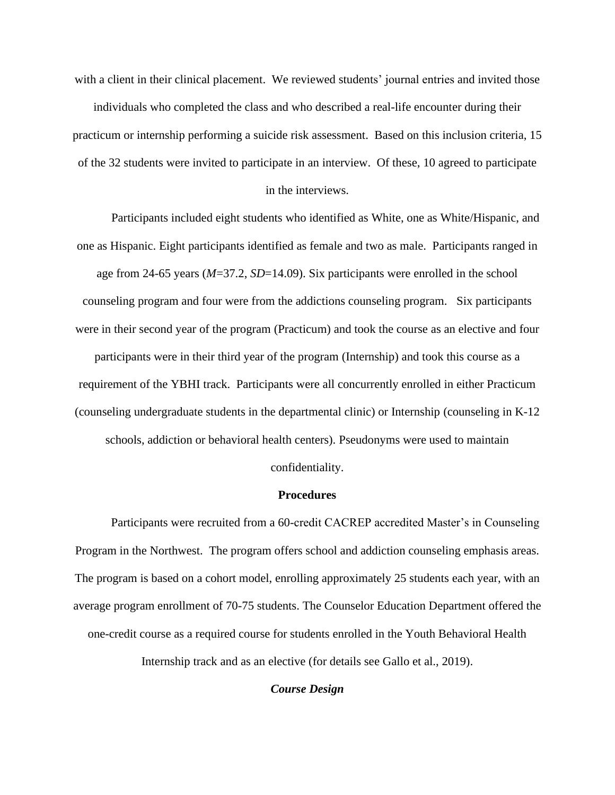with a client in their clinical placement. We reviewed students' journal entries and invited those individuals who completed the class and who described a real-life encounter during their practicum or internship performing a suicide risk assessment. Based on this inclusion criteria, 15 of the 32 students were invited to participate in an interview. Of these, 10 agreed to participate

in the interviews.

Participants included eight students who identified as White, one as White/Hispanic, and one as Hispanic. Eight participants identified as female and two as male. Participants ranged in age from 24-65 years (*M*=37.2, *SD*=14.09). Six participants were enrolled in the school counseling program and four were from the addictions counseling program. Six participants were in their second year of the program (Practicum) and took the course as an elective and four participants were in their third year of the program (Internship) and took this course as a requirement of the YBHI track. Participants were all concurrently enrolled in either Practicum (counseling undergraduate students in the departmental clinic) or Internship (counseling in K-12 schools, addiction or behavioral health centers). Pseudonyms were used to maintain

confidentiality.

# **Procedures**

Participants were recruited from a 60-credit CACREP accredited Master's in Counseling Program in the Northwest. The program offers school and addiction counseling emphasis areas. The program is based on a cohort model, enrolling approximately 25 students each year, with an average program enrollment of 70-75 students. The Counselor Education Department offered the one-credit course as a required course for students enrolled in the Youth Behavioral Health Internship track and as an elective (for details see Gallo et al., 2019).

*Course Design*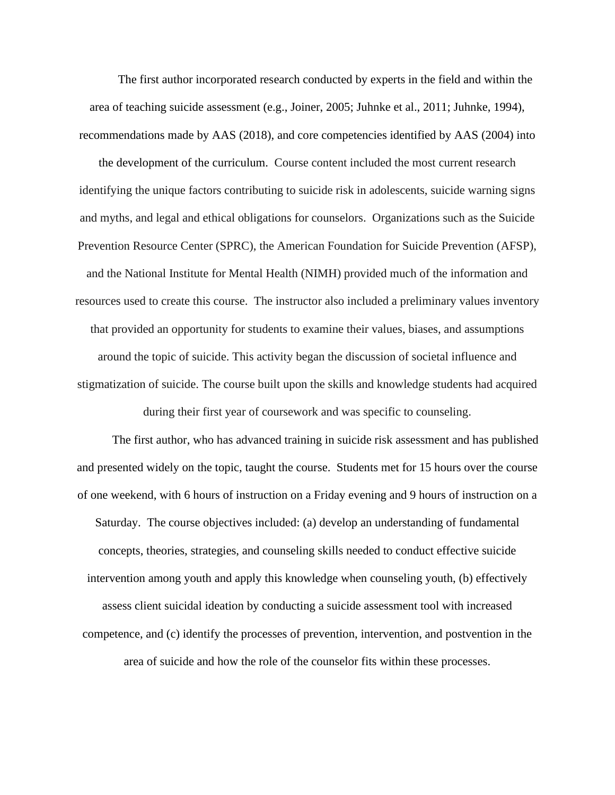The first author incorporated research conducted by experts in the field and within the area of teaching suicide assessment (e.g., Joiner, 2005; Juhnke et al., 2011; Juhnke, 1994), recommendations made by AAS (2018), and core competencies identified by AAS (2004) into

the development of the curriculum. Course content included the most current research identifying the unique factors contributing to suicide risk in adolescents, suicide warning signs and myths, and legal and ethical obligations for counselors. Organizations such as the Suicide Prevention Resource Center (SPRC), the American Foundation for Suicide Prevention (AFSP), and the National Institute for Mental Health (NIMH) provided much of the information and resources used to create this course. The instructor also included a preliminary values inventory that provided an opportunity for students to examine their values, biases, and assumptions around the topic of suicide. This activity began the discussion of societal influence and stigmatization of suicide. The course built upon the skills and knowledge students had acquired during their first year of coursework and was specific to counseling.

The first author, who has advanced training in suicide risk assessment and has published and presented widely on the topic, taught the course. Students met for 15 hours over the course of one weekend, with 6 hours of instruction on a Friday evening and 9 hours of instruction on a Saturday. The course objectives included: (a) develop an understanding of fundamental concepts, theories, strategies, and counseling skills needed to conduct effective suicide intervention among youth and apply this knowledge when counseling youth, (b) effectively assess client suicidal ideation by conducting a suicide assessment tool with increased competence, and (c) identify the processes of prevention, intervention, and postvention in the area of suicide and how the role of the counselor fits within these processes.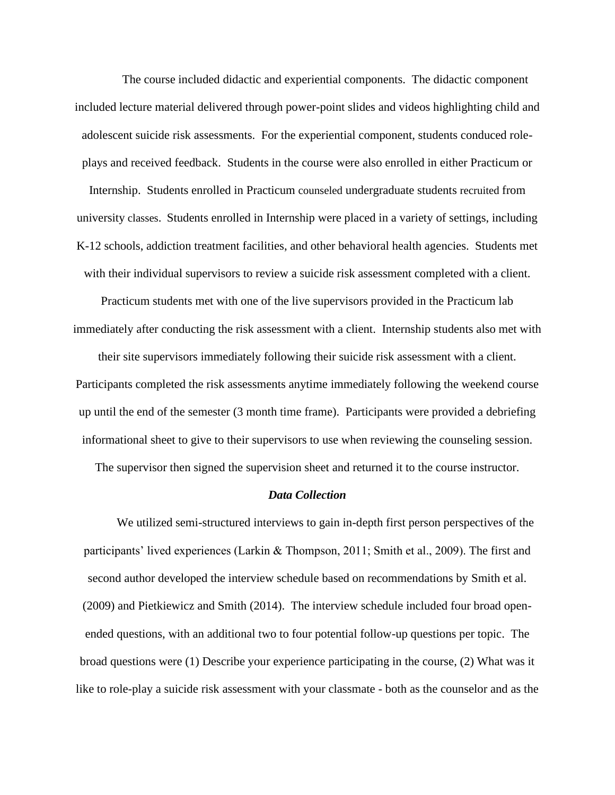The course included didactic and experiential components. The didactic component included lecture material delivered through power-point slides and videos highlighting child and adolescent suicide risk assessments. For the experiential component, students conduced roleplays and received feedback. Students in the course were also enrolled in either Practicum or Internship. Students enrolled in Practicum counseled undergraduate students recruited from university classes. Students enrolled in Internship were placed in a variety of settings, including K-12 schools, addiction treatment facilities, and other behavioral health agencies. Students met with their individual supervisors to review a suicide risk assessment completed with a client.

Practicum students met with one of the live supervisors provided in the Practicum lab immediately after conducting the risk assessment with a client. Internship students also met with their site supervisors immediately following their suicide risk assessment with a client. Participants completed the risk assessments anytime immediately following the weekend course up until the end of the semester (3 month time frame). Participants were provided a debriefing informational sheet to give to their supervisors to use when reviewing the counseling session.

The supervisor then signed the supervision sheet and returned it to the course instructor.

### *Data Collection*

We utilized semi-structured interviews to gain in-depth first person perspectives of the participants' lived experiences (Larkin & Thompson, 2011; Smith et al., 2009). The first and second author developed the interview schedule based on recommendations by Smith et al. (2009) and Pietkiewicz and Smith (2014). The interview schedule included four broad openended questions, with an additional two to four potential follow-up questions per topic. The broad questions were (1) Describe your experience participating in the course, (2) What was it like to role-play a suicide risk assessment with your classmate - both as the counselor and as the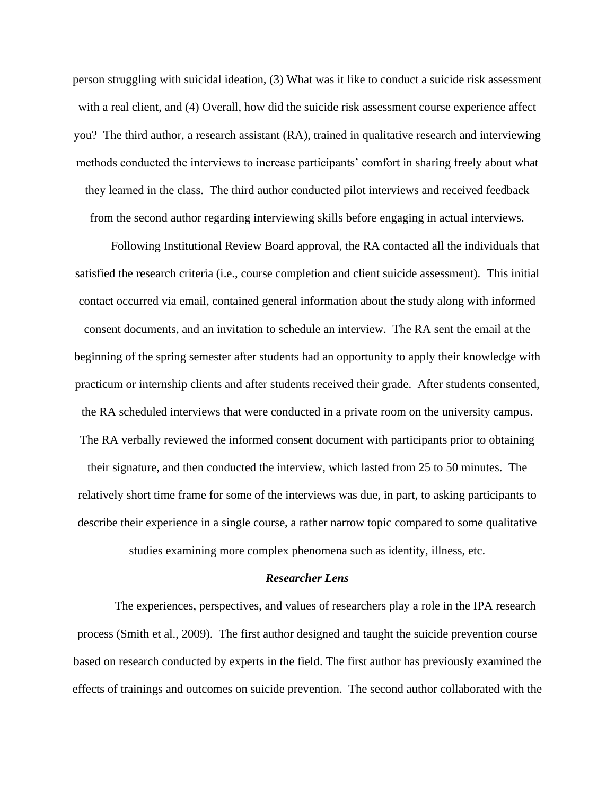person struggling with suicidal ideation, (3) What was it like to conduct a suicide risk assessment with a real client, and (4) Overall, how did the suicide risk assessment course experience affect you? The third author, a research assistant (RA), trained in qualitative research and interviewing methods conducted the interviews to increase participants' comfort in sharing freely about what they learned in the class. The third author conducted pilot interviews and received feedback from the second author regarding interviewing skills before engaging in actual interviews.

Following Institutional Review Board approval, the RA contacted all the individuals that satisfied the research criteria (i.e., course completion and client suicide assessment). This initial contact occurred via email, contained general information about the study along with informed consent documents, and an invitation to schedule an interview. The RA sent the email at the beginning of the spring semester after students had an opportunity to apply their knowledge with practicum or internship clients and after students received their grade. After students consented, the RA scheduled interviews that were conducted in a private room on the university campus. The RA verbally reviewed the informed consent document with participants prior to obtaining their signature, and then conducted the interview, which lasted from 25 to 50 minutes. The relatively short time frame for some of the interviews was due, in part, to asking participants to describe their experience in a single course, a rather narrow topic compared to some qualitative studies examining more complex phenomena such as identity, illness, etc.

### *Researcher Lens*

The experiences, perspectives, and values of researchers play a role in the IPA research process (Smith et al., 2009). The first author designed and taught the suicide prevention course based on research conducted by experts in the field. The first author has previously examined the effects of trainings and outcomes on suicide prevention. The second author collaborated with the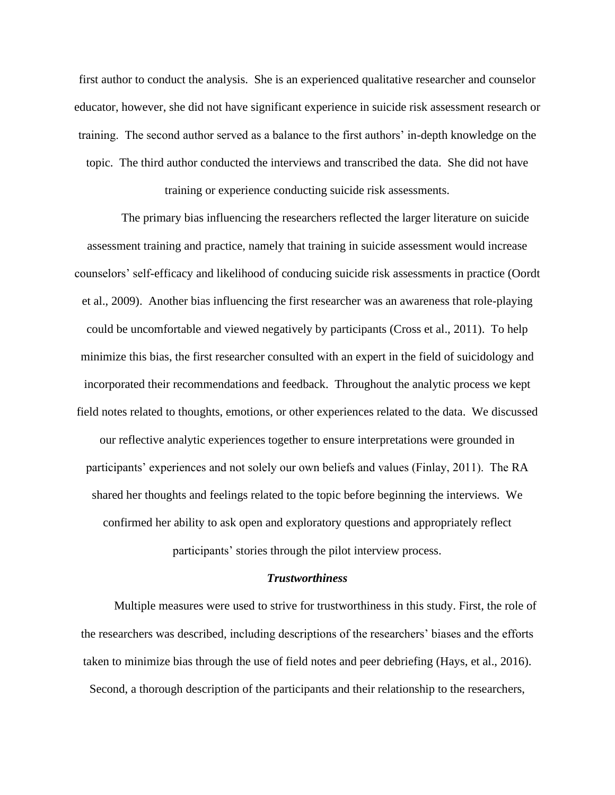first author to conduct the analysis. She is an experienced qualitative researcher and counselor educator, however, she did not have significant experience in suicide risk assessment research or training. The second author served as a balance to the first authors' in-depth knowledge on the topic. The third author conducted the interviews and transcribed the data. She did not have

training or experience conducting suicide risk assessments.

The primary bias influencing the researchers reflected the larger literature on suicide assessment training and practice, namely that training in suicide assessment would increase counselors' self-efficacy and likelihood of conducing suicide risk assessments in practice (Oordt et al., 2009). Another bias influencing the first researcher was an awareness that role-playing could be uncomfortable and viewed negatively by participants (Cross et al., 2011). To help minimize this bias, the first researcher consulted with an expert in the field of suicidology and incorporated their recommendations and feedback. Throughout the analytic process we kept field notes related to thoughts, emotions, or other experiences related to the data. We discussed our reflective analytic experiences together to ensure interpretations were grounded in participants' experiences and not solely our own beliefs and values (Finlay, 2011). The RA shared her thoughts and feelings related to the topic before beginning the interviews. We confirmed her ability to ask open and exploratory questions and appropriately reflect participants' stories through the pilot interview process.

### *Trustworthiness*

Multiple measures were used to strive for trustworthiness in this study. First, the role of the researchers was described, including descriptions of the researchers' biases and the efforts taken to minimize bias through the use of field notes and peer debriefing (Hays, et al., 2016). Second, a thorough description of the participants and their relationship to the researchers,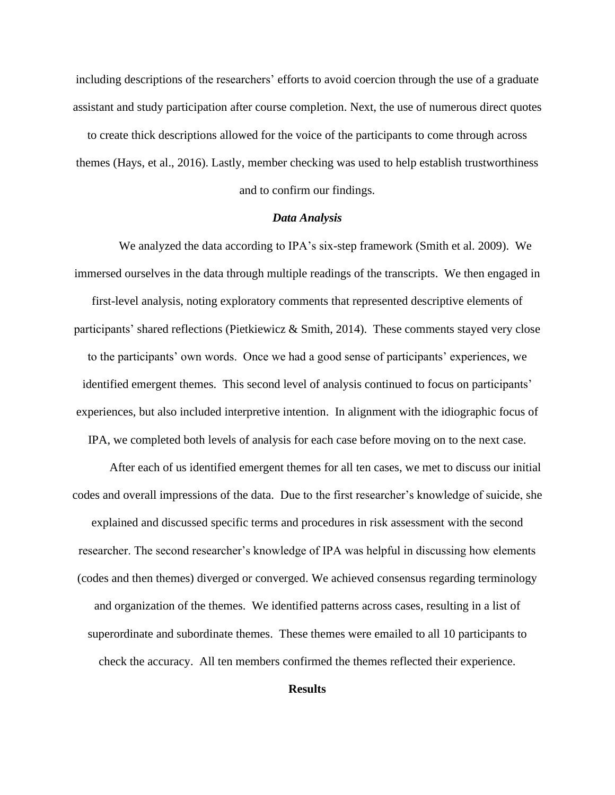including descriptions of the researchers' efforts to avoid coercion through the use of a graduate assistant and study participation after course completion. Next, the use of numerous direct quotes

to create thick descriptions allowed for the voice of the participants to come through across themes (Hays, et al., 2016). Lastly, member checking was used to help establish trustworthiness and to confirm our findings.

### *Data Analysis*

We analyzed the data according to IPA's six-step framework (Smith et al. 2009). We immersed ourselves in the data through multiple readings of the transcripts. We then engaged in first-level analysis, noting exploratory comments that represented descriptive elements of participants' shared reflections (Pietkiewicz & Smith, 2014). These comments stayed very close to the participants' own words. Once we had a good sense of participants' experiences, we identified emergent themes. This second level of analysis continued to focus on participants' experiences, but also included interpretive intention. In alignment with the idiographic focus of IPA, we completed both levels of analysis for each case before moving on to the next case.

After each of us identified emergent themes for all ten cases, we met to discuss our initial codes and overall impressions of the data. Due to the first researcher's knowledge of suicide, she explained and discussed specific terms and procedures in risk assessment with the second researcher. The second researcher's knowledge of IPA was helpful in discussing how elements (codes and then themes) diverged or converged. We achieved consensus regarding terminology and organization of the themes. We identified patterns across cases, resulting in a list of superordinate and subordinate themes. These themes were emailed to all 10 participants to check the accuracy. All ten members confirmed the themes reflected their experience.

# **Results**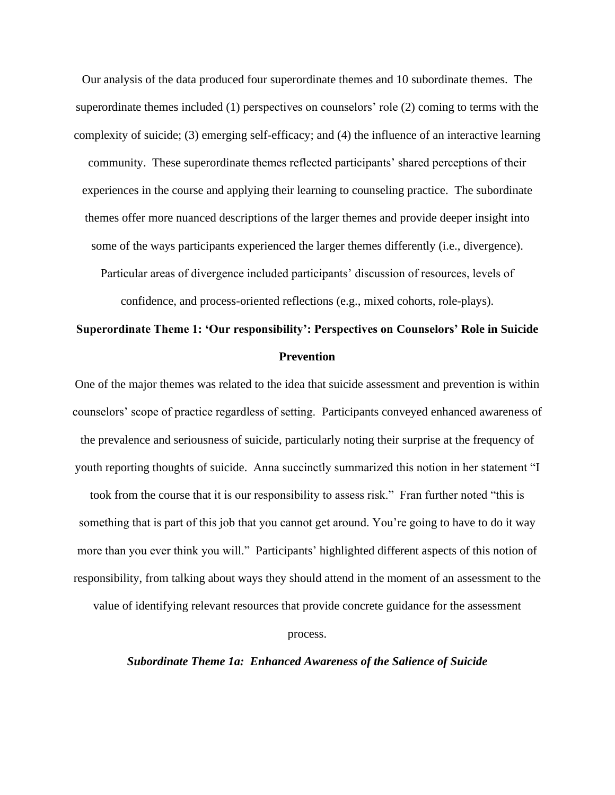Our analysis of the data produced four superordinate themes and 10 subordinate themes. The superordinate themes included (1) perspectives on counselors' role (2) coming to terms with the complexity of suicide; (3) emerging self-efficacy; and (4) the influence of an interactive learning community. These superordinate themes reflected participants' shared perceptions of their experiences in the course and applying their learning to counseling practice. The subordinate themes offer more nuanced descriptions of the larger themes and provide deeper insight into some of the ways participants experienced the larger themes differently (i.e., divergence). Particular areas of divergence included participants' discussion of resources, levels of

confidence, and process-oriented reflections (e.g., mixed cohorts, role-plays).

# **Superordinate Theme 1: 'Our responsibility': Perspectives on Counselors' Role in Suicide Prevention**

One of the major themes was related to the idea that suicide assessment and prevention is within counselors' scope of practice regardless of setting. Participants conveyed enhanced awareness of the prevalence and seriousness of suicide, particularly noting their surprise at the frequency of youth reporting thoughts of suicide. Anna succinctly summarized this notion in her statement "I

took from the course that it is our responsibility to assess risk." Fran further noted "this is something that is part of this job that you cannot get around. You're going to have to do it way more than you ever think you will." Participants' highlighted different aspects of this notion of responsibility, from talking about ways they should attend in the moment of an assessment to the

value of identifying relevant resources that provide concrete guidance for the assessment

process.

# *Subordinate Theme 1a: Enhanced Awareness of the Salience of Suicide*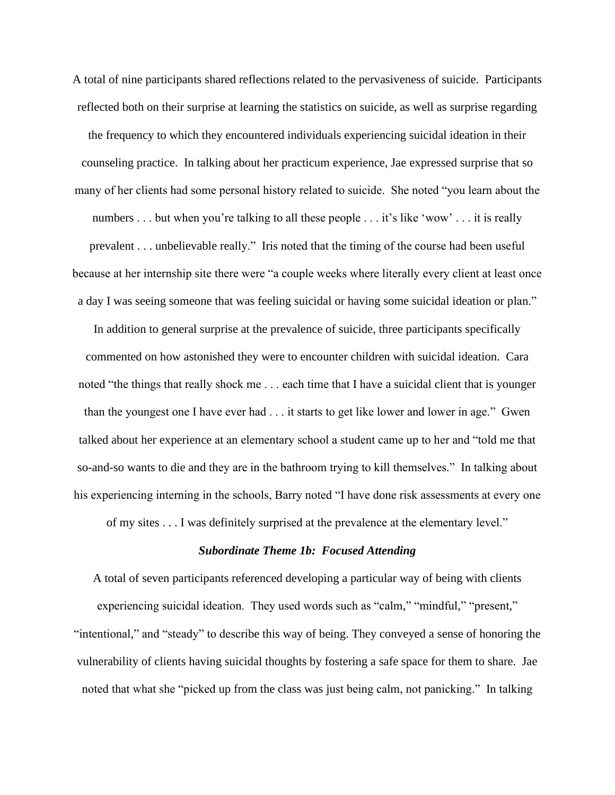A total of nine participants shared reflections related to the pervasiveness of suicide. Participants reflected both on their surprise at learning the statistics on suicide, as well as surprise regarding the frequency to which they encountered individuals experiencing suicidal ideation in their counseling practice. In talking about her practicum experience, Jae expressed surprise that so many of her clients had some personal history related to suicide. She noted "you learn about the numbers . . . but when you're talking to all these people . . . it's like 'wow' . . . it is really prevalent . . . unbelievable really." Iris noted that the timing of the course had been useful because at her internship site there were "a couple weeks where literally every client at least once a day I was seeing someone that was feeling suicidal or having some suicidal ideation or plan."

In addition to general surprise at the prevalence of suicide, three participants specifically commented on how astonished they were to encounter children with suicidal ideation. Cara noted "the things that really shock me . . . each time that I have a suicidal client that is younger than the youngest one I have ever had . . . it starts to get like lower and lower in age." Gwen talked about her experience at an elementary school a student came up to her and "told me that so-and-so wants to die and they are in the bathroom trying to kill themselves." In talking about his experiencing interning in the schools, Barry noted "I have done risk assessments at every one

of my sites . . . I was definitely surprised at the prevalence at the elementary level."

# *Subordinate Theme 1b: Focused Attending*

A total of seven participants referenced developing a particular way of being with clients experiencing suicidal ideation. They used words such as "calm," "mindful," "present," "intentional," and "steady" to describe this way of being. They conveyed a sense of honoring the vulnerability of clients having suicidal thoughts by fostering a safe space for them to share. Jae noted that what she "picked up from the class was just being calm, not panicking." In talking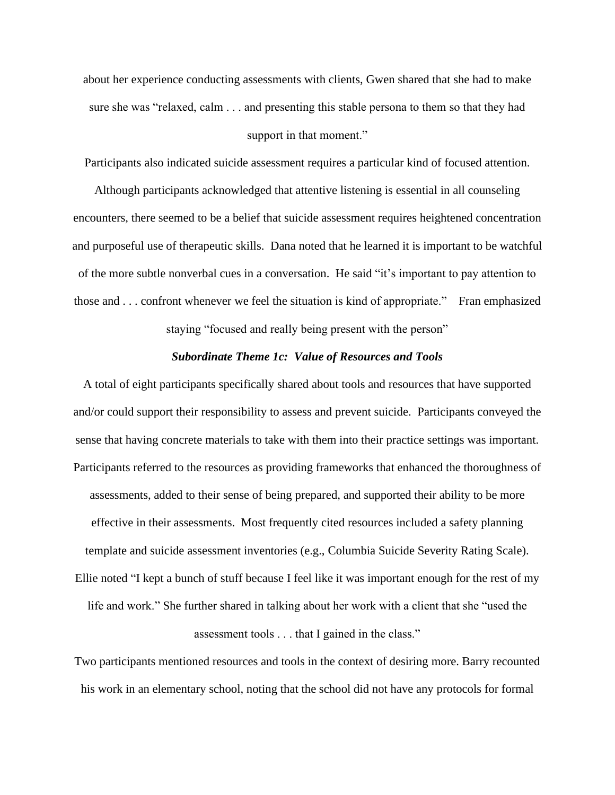about her experience conducting assessments with clients, Gwen shared that she had to make sure she was "relaxed, calm . . . and presenting this stable persona to them so that they had

### support in that moment."

Participants also indicated suicide assessment requires a particular kind of focused attention.

Although participants acknowledged that attentive listening is essential in all counseling encounters, there seemed to be a belief that suicide assessment requires heightened concentration and purposeful use of therapeutic skills. Dana noted that he learned it is important to be watchful of the more subtle nonverbal cues in a conversation. He said "it's important to pay attention to those and . . . confront whenever we feel the situation is kind of appropriate." Fran emphasized

staying "focused and really being present with the person"

# *Subordinate Theme 1c: Value of Resources and Tools*

A total of eight participants specifically shared about tools and resources that have supported and/or could support their responsibility to assess and prevent suicide. Participants conveyed the sense that having concrete materials to take with them into their practice settings was important. Participants referred to the resources as providing frameworks that enhanced the thoroughness of assessments, added to their sense of being prepared, and supported their ability to be more effective in their assessments. Most frequently cited resources included a safety planning template and suicide assessment inventories (e.g., Columbia Suicide Severity Rating Scale). Ellie noted "I kept a bunch of stuff because I feel like it was important enough for the rest of my life and work." She further shared in talking about her work with a client that she "used the assessment tools . . . that I gained in the class."

Two participants mentioned resources and tools in the context of desiring more. Barry recounted his work in an elementary school, noting that the school did not have any protocols for formal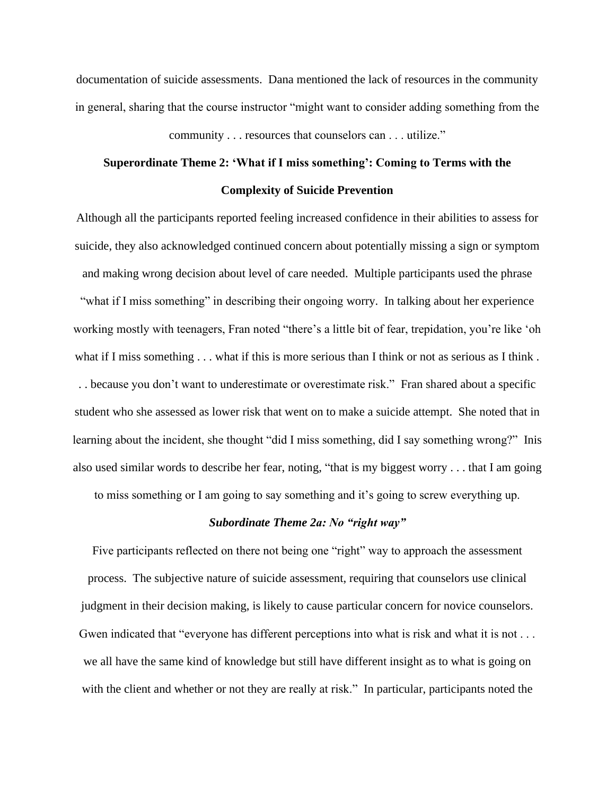documentation of suicide assessments. Dana mentioned the lack of resources in the community in general, sharing that the course instructor "might want to consider adding something from the

community . . . resources that counselors can . . . utilize."

# **Superordinate Theme 2: 'What if I miss something': Coming to Terms with the Complexity of Suicide Prevention**

Although all the participants reported feeling increased confidence in their abilities to assess for suicide, they also acknowledged continued concern about potentially missing a sign or symptom and making wrong decision about level of care needed. Multiple participants used the phrase "what if I miss something" in describing their ongoing worry. In talking about her experience working mostly with teenagers, Fran noted "there's a little bit of fear, trepidation, you're like 'oh what if I miss something . . . what if this is more serious than I think or not as serious as I think. . . because you don't want to underestimate or overestimate risk." Fran shared about a specific student who she assessed as lower risk that went on to make a suicide attempt. She noted that in learning about the incident, she thought "did I miss something, did I say something wrong?" Inis also used similar words to describe her fear, noting, "that is my biggest worry . . . that I am going

to miss something or I am going to say something and it's going to screw everything up.

# *Subordinate Theme 2a: No "right way"*

Five participants reflected on there not being one "right" way to approach the assessment process. The subjective nature of suicide assessment, requiring that counselors use clinical judgment in their decision making, is likely to cause particular concern for novice counselors. Gwen indicated that "everyone has different perceptions into what is risk and what it is not . . . we all have the same kind of knowledge but still have different insight as to what is going on with the client and whether or not they are really at risk." In particular, participants noted the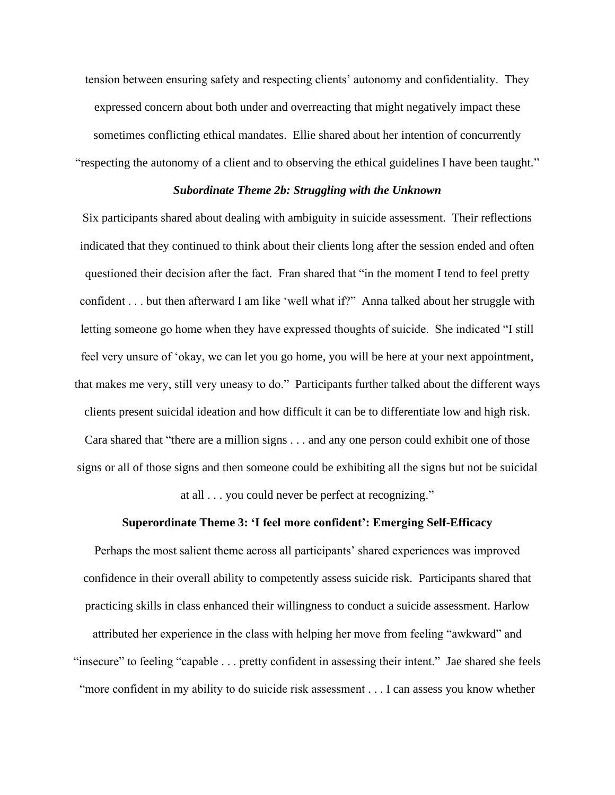tension between ensuring safety and respecting clients' autonomy and confidentiality. They expressed concern about both under and overreacting that might negatively impact these sometimes conflicting ethical mandates. Ellie shared about her intention of concurrently "respecting the autonomy of a client and to observing the ethical guidelines I have been taught."

#### *Subordinate Theme 2b: Struggling with the Unknown*

Six participants shared about dealing with ambiguity in suicide assessment. Their reflections indicated that they continued to think about their clients long after the session ended and often questioned their decision after the fact. Fran shared that "in the moment I tend to feel pretty confident . . . but then afterward I am like 'well what if?" Anna talked about her struggle with letting someone go home when they have expressed thoughts of suicide. She indicated "I still feel very unsure of 'okay, we can let you go home, you will be here at your next appointment, that makes me very, still very uneasy to do." Participants further talked about the different ways clients present suicidal ideation and how difficult it can be to differentiate low and high risk. Cara shared that "there are a million signs . . . and any one person could exhibit one of those signs or all of those signs and then someone could be exhibiting all the signs but not be suicidal

at all . . . you could never be perfect at recognizing."

# **Superordinate Theme 3: 'I feel more confident': Emerging Self-Efficacy**

Perhaps the most salient theme across all participants' shared experiences was improved confidence in their overall ability to competently assess suicide risk. Participants shared that practicing skills in class enhanced their willingness to conduct a suicide assessment. Harlow attributed her experience in the class with helping her move from feeling "awkward" and "insecure" to feeling "capable . . . pretty confident in assessing their intent." Jae shared she feels "more confident in my ability to do suicide risk assessment . . . I can assess you know whether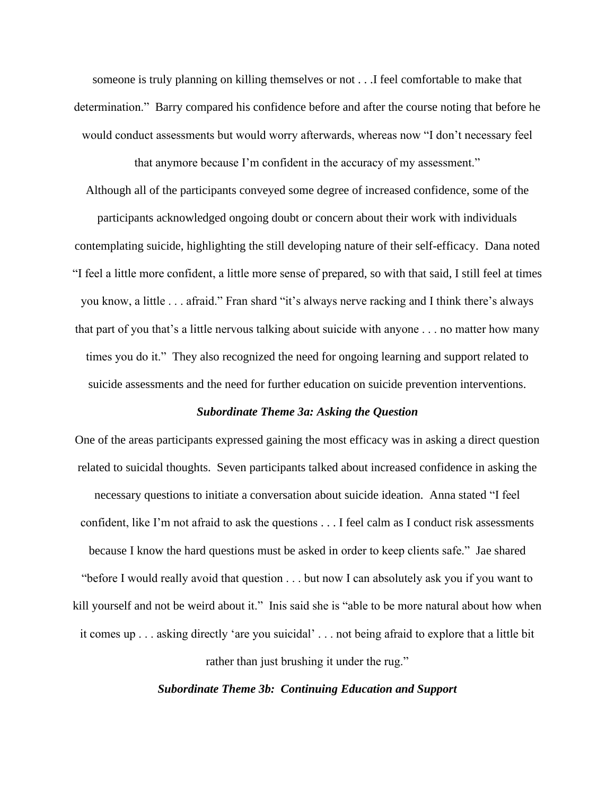someone is truly planning on killing themselves or not . . .I feel comfortable to make that determination." Barry compared his confidence before and after the course noting that before he would conduct assessments but would worry afterwards, whereas now "I don't necessary feel

that anymore because I'm confident in the accuracy of my assessment."

Although all of the participants conveyed some degree of increased confidence, some of the participants acknowledged ongoing doubt or concern about their work with individuals contemplating suicide, highlighting the still developing nature of their self-efficacy. Dana noted "I feel a little more confident, a little more sense of prepared, so with that said, I still feel at times you know, a little . . . afraid." Fran shard "it's always nerve racking and I think there's always that part of you that's a little nervous talking about suicide with anyone . . . no matter how many times you do it." They also recognized the need for ongoing learning and support related to suicide assessments and the need for further education on suicide prevention interventions.

# *Subordinate Theme 3a: Asking the Question*

One of the areas participants expressed gaining the most efficacy was in asking a direct question related to suicidal thoughts. Seven participants talked about increased confidence in asking the necessary questions to initiate a conversation about suicide ideation. Anna stated "I feel confident, like I'm not afraid to ask the questions . . . I feel calm as I conduct risk assessments because I know the hard questions must be asked in order to keep clients safe." Jae shared "before I would really avoid that question . . . but now I can absolutely ask you if you want to kill yourself and not be weird about it." Inis said she is "able to be more natural about how when it comes up . . . asking directly 'are you suicidal' . . . not being afraid to explore that a little bit

rather than just brushing it under the rug."

*Subordinate Theme 3b: Continuing Education and Support*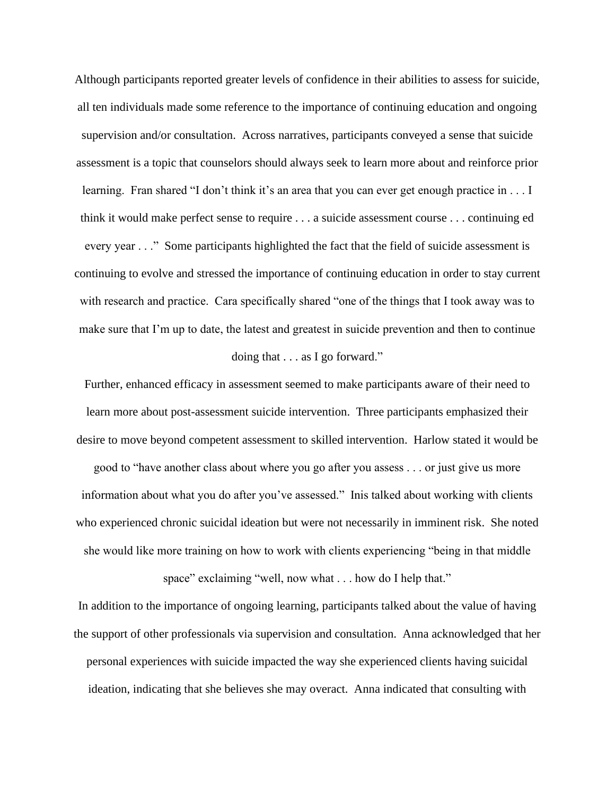Although participants reported greater levels of confidence in their abilities to assess for suicide, all ten individuals made some reference to the importance of continuing education and ongoing supervision and/or consultation. Across narratives, participants conveyed a sense that suicide assessment is a topic that counselors should always seek to learn more about and reinforce prior learning. Fran shared "I don't think it's an area that you can ever get enough practice in . . . I think it would make perfect sense to require . . . a suicide assessment course . . . continuing ed every year . . ." Some participants highlighted the fact that the field of suicide assessment is continuing to evolve and stressed the importance of continuing education in order to stay current with research and practice. Cara specifically shared "one of the things that I took away was to make sure that I'm up to date, the latest and greatest in suicide prevention and then to continue

# doing that . . . as I go forward."

Further, enhanced efficacy in assessment seemed to make participants aware of their need to learn more about post-assessment suicide intervention. Three participants emphasized their desire to move beyond competent assessment to skilled intervention. Harlow stated it would be good to "have another class about where you go after you assess . . . or just give us more information about what you do after you've assessed." Inis talked about working with clients who experienced chronic suicidal ideation but were not necessarily in imminent risk. She noted she would like more training on how to work with clients experiencing "being in that middle

space" exclaiming "well, now what . . . how do I help that."

In addition to the importance of ongoing learning, participants talked about the value of having the support of other professionals via supervision and consultation. Anna acknowledged that her personal experiences with suicide impacted the way she experienced clients having suicidal ideation, indicating that she believes she may overact. Anna indicated that consulting with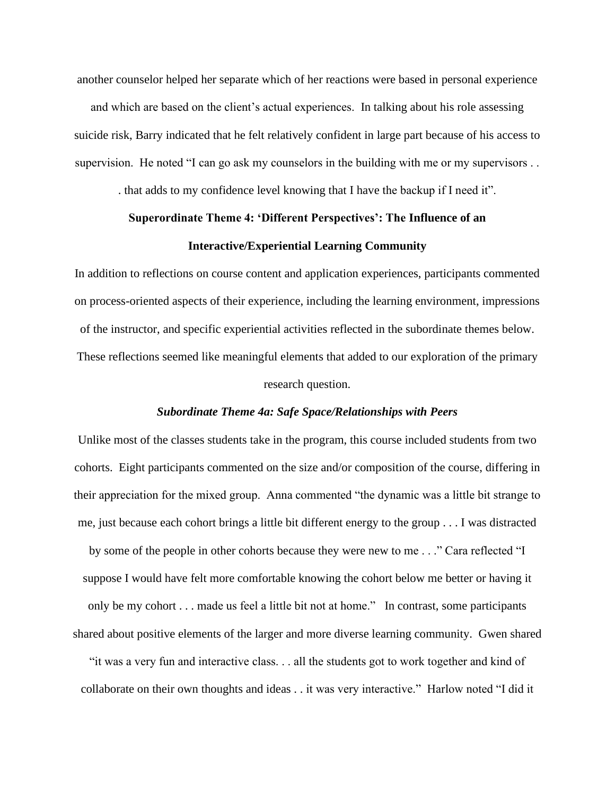another counselor helped her separate which of her reactions were based in personal experience

and which are based on the client's actual experiences. In talking about his role assessing suicide risk, Barry indicated that he felt relatively confident in large part because of his access to supervision. He noted "I can go ask my counselors in the building with me or my supervisors . .

. that adds to my confidence level knowing that I have the backup if I need it".

# **Superordinate Theme 4: 'Different Perspectives': The Influence of an Interactive/Experiential Learning Community**

In addition to reflections on course content and application experiences, participants commented on process-oriented aspects of their experience, including the learning environment, impressions of the instructor, and specific experiential activities reflected in the subordinate themes below. These reflections seemed like meaningful elements that added to our exploration of the primary research question.

### *Subordinate Theme 4a: Safe Space/Relationships with Peers*

Unlike most of the classes students take in the program, this course included students from two cohorts. Eight participants commented on the size and/or composition of the course, differing in their appreciation for the mixed group. Anna commented "the dynamic was a little bit strange to me, just because each cohort brings a little bit different energy to the group . . . I was distracted by some of the people in other cohorts because they were new to me . . ." Cara reflected "I

suppose I would have felt more comfortable knowing the cohort below me better or having it only be my cohort . . . made us feel a little bit not at home." In contrast, some participants shared about positive elements of the larger and more diverse learning community. Gwen shared

"it was a very fun and interactive class. . . all the students got to work together and kind of collaborate on their own thoughts and ideas . . it was very interactive." Harlow noted "I did it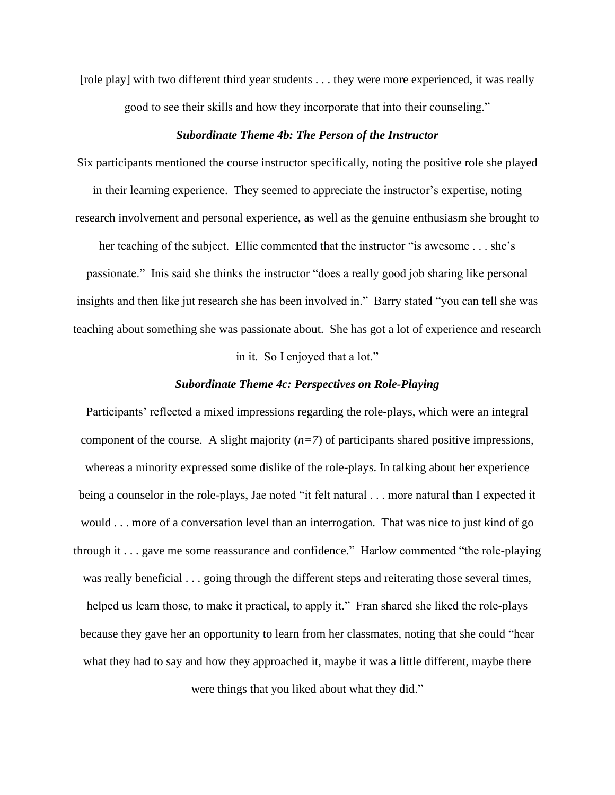[role play] with two different third year students . . . they were more experienced, it was really good to see their skills and how they incorporate that into their counseling."

### *Subordinate Theme 4b: The Person of the Instructor*

Six participants mentioned the course instructor specifically, noting the positive role she played in their learning experience. They seemed to appreciate the instructor's expertise, noting research involvement and personal experience, as well as the genuine enthusiasm she brought to

her teaching of the subject. Ellie commented that the instructor "is awesome . . . she's passionate." Inis said she thinks the instructor "does a really good job sharing like personal insights and then like jut research she has been involved in." Barry stated "you can tell she was teaching about something she was passionate about. She has got a lot of experience and research

# in it. So I enjoyed that a lot."

### *Subordinate Theme 4c: Perspectives on Role-Playing*

Participants' reflected a mixed impressions regarding the role-plays, which were an integral component of the course. A slight majority  $(n=7)$  of participants shared positive impressions, whereas a minority expressed some dislike of the role-plays. In talking about her experience being a counselor in the role-plays, Jae noted "it felt natural . . . more natural than I expected it would . . . more of a conversation level than an interrogation. That was nice to just kind of go through it . . . gave me some reassurance and confidence." Harlow commented "the role-playing was really beneficial . . . going through the different steps and reiterating those several times, helped us learn those, to make it practical, to apply it." Fran shared she liked the role-plays because they gave her an opportunity to learn from her classmates, noting that she could "hear what they had to say and how they approached it, maybe it was a little different, maybe there were things that you liked about what they did."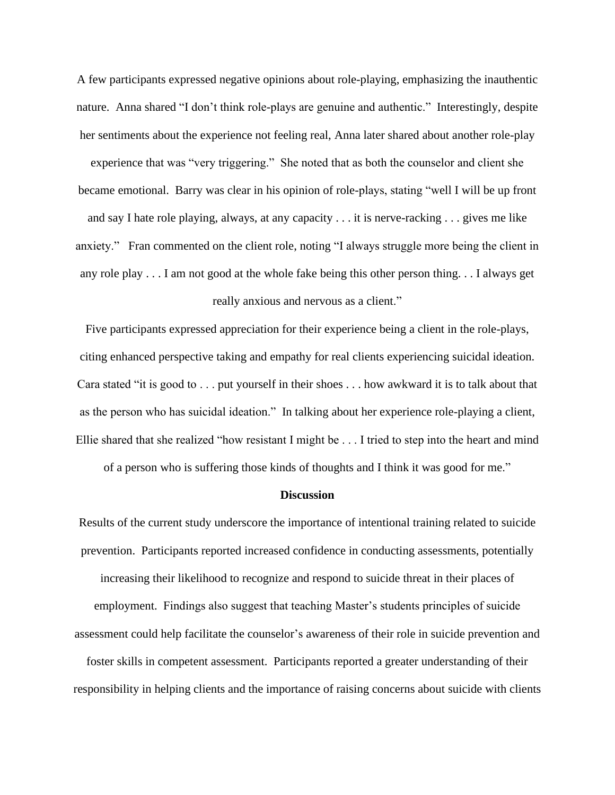A few participants expressed negative opinions about role-playing, emphasizing the inauthentic nature. Anna shared "I don't think role-plays are genuine and authentic." Interestingly, despite her sentiments about the experience not feeling real, Anna later shared about another role-play experience that was "very triggering." She noted that as both the counselor and client she became emotional. Barry was clear in his opinion of role-plays, stating "well I will be up front and say I hate role playing, always, at any capacity . . . it is nerve-racking . . . gives me like anxiety." Fran commented on the client role, noting "I always struggle more being the client in any role play . . . I am not good at the whole fake being this other person thing. . . I always get really anxious and nervous as a client."

Five participants expressed appreciation for their experience being a client in the role-plays, citing enhanced perspective taking and empathy for real clients experiencing suicidal ideation. Cara stated "it is good to . . . put yourself in their shoes . . . how awkward it is to talk about that as the person who has suicidal ideation." In talking about her experience role-playing a client, Ellie shared that she realized "how resistant I might be . . . I tried to step into the heart and mind

of a person who is suffering those kinds of thoughts and I think it was good for me."

### **Discussion**

Results of the current study underscore the importance of intentional training related to suicide prevention. Participants reported increased confidence in conducting assessments, potentially increasing their likelihood to recognize and respond to suicide threat in their places of employment. Findings also suggest that teaching Master's students principles of suicide assessment could help facilitate the counselor's awareness of their role in suicide prevention and

foster skills in competent assessment. Participants reported a greater understanding of their responsibility in helping clients and the importance of raising concerns about suicide with clients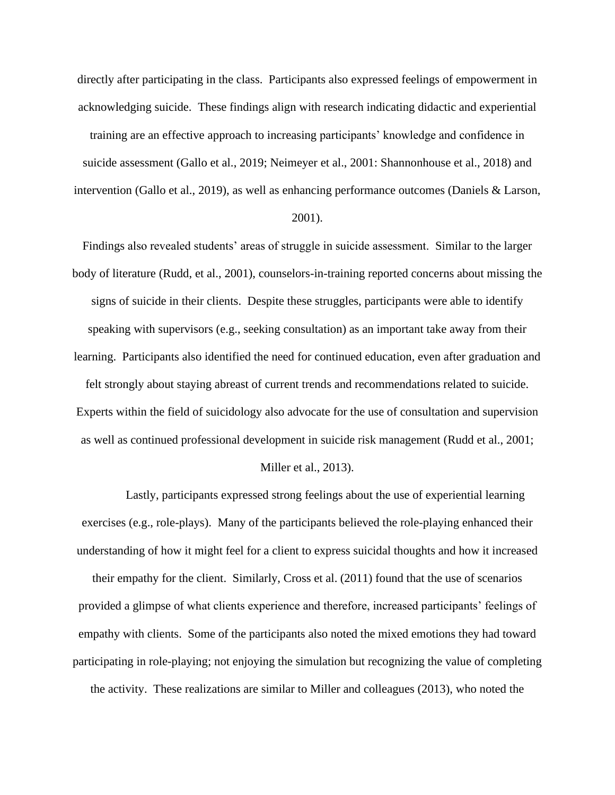directly after participating in the class. Participants also expressed feelings of empowerment in acknowledging suicide. These findings align with research indicating didactic and experiential

training are an effective approach to increasing participants' knowledge and confidence in suicide assessment (Gallo et al., 2019; Neimeyer et al., 2001: Shannonhouse et al., 2018) and intervention (Gallo et al., 2019), as well as enhancing performance outcomes (Daniels & Larson,

# 2001).

Findings also revealed students' areas of struggle in suicide assessment. Similar to the larger body of literature (Rudd, et al., 2001), counselors-in-training reported concerns about missing the signs of suicide in their clients. Despite these struggles, participants were able to identify speaking with supervisors (e.g., seeking consultation) as an important take away from their learning. Participants also identified the need for continued education, even after graduation and felt strongly about staying abreast of current trends and recommendations related to suicide. Experts within the field of suicidology also advocate for the use of consultation and supervision as well as continued professional development in suicide risk management (Rudd et al., 2001;

### Miller et al., 2013).

Lastly, participants expressed strong feelings about the use of experiential learning exercises (e.g., role-plays). Many of the participants believed the role-playing enhanced their understanding of how it might feel for a client to express suicidal thoughts and how it increased their empathy for the client. Similarly, Cross et al. (2011) found that the use of scenarios provided a glimpse of what clients experience and therefore, increased participants' feelings of empathy with clients. Some of the participants also noted the mixed emotions they had toward participating in role-playing; not enjoying the simulation but recognizing the value of completing the activity. These realizations are similar to Miller and colleagues (2013), who noted the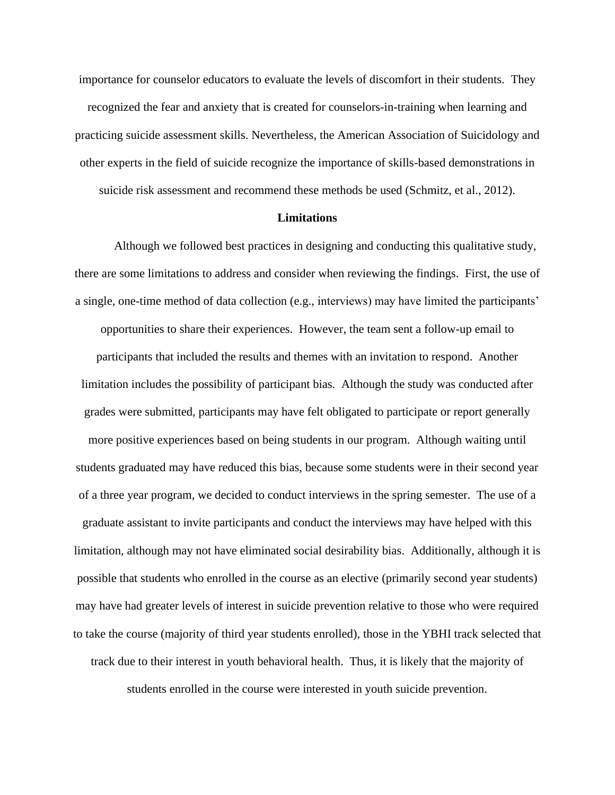importance for counselor educators to evaluate the levels of discomfort in their students. They recognized the fear and anxiety that is created for counselors-in-training when learning and practicing suicide assessment skills. Nevertheless, the American Association of Suicidology and other experts in the field of suicide recognize the importance of skills-based demonstrations in suicide risk assessment and recommend these methods be used (Schmitz, et al., 2012).

### **Limitations**

Although we followed best practices in designing and conducting this qualitative study, there are some limitations to address and consider when reviewing the findings. First, the use of a single, one-time method of data collection (e.g., interviews) may have limited the participants'

opportunities to share their experiences. However, the team sent a follow-up email to participants that included the results and themes with an invitation to respond. Another limitation includes the possibility of participant bias. Although the study was conducted after grades were submitted, participants may have felt obligated to participate or report generally more positive experiences based on being students in our program. Although waiting until students graduated may have reduced this bias, because some students were in their second year of a three year program, we decided to conduct interviews in the spring semester. The use of a graduate assistant to invite participants and conduct the interviews may have helped with this limitation, although may not have eliminated social desirability bias. Additionally, although it is possible that students who enrolled in the course as an elective (primarily second year students) may have had greater levels of interest in suicide prevention relative to those who were required to take the course (majority of third year students enrolled), those in the YBHI track selected that track due to their interest in youth behavioral health. Thus, it is likely that the majority of

students enrolled in the course were interested in youth suicide prevention.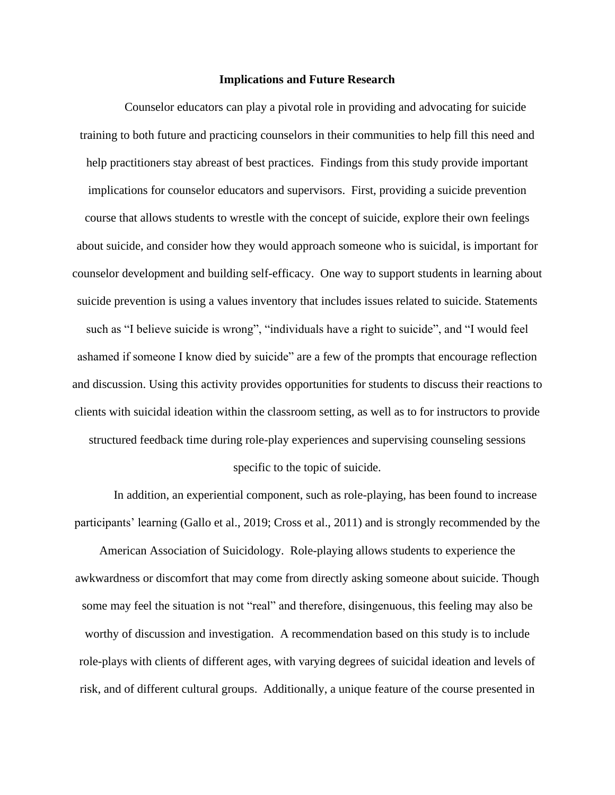#### **Implications and Future Research**

Counselor educators can play a pivotal role in providing and advocating for suicide training to both future and practicing counselors in their communities to help fill this need and help practitioners stay abreast of best practices. Findings from this study provide important implications for counselor educators and supervisors. First, providing a suicide prevention course that allows students to wrestle with the concept of suicide, explore their own feelings about suicide, and consider how they would approach someone who is suicidal, is important for counselor development and building self-efficacy. One way to support students in learning about suicide prevention is using a values inventory that includes issues related to suicide. Statements such as "I believe suicide is wrong", "individuals have a right to suicide", and "I would feel ashamed if someone I know died by suicide" are a few of the prompts that encourage reflection and discussion. Using this activity provides opportunities for students to discuss their reactions to clients with suicidal ideation within the classroom setting, as well as to for instructors to provide structured feedback time during role-play experiences and supervising counseling sessions

### specific to the topic of suicide.

In addition, an experiential component, such as role-playing, has been found to increase participants' learning (Gallo et al., 2019; Cross et al., 2011) and is strongly recommended by the

American Association of Suicidology. Role-playing allows students to experience the awkwardness or discomfort that may come from directly asking someone about suicide. Though some may feel the situation is not "real" and therefore, disingenuous, this feeling may also be worthy of discussion and investigation. A recommendation based on this study is to include role-plays with clients of different ages, with varying degrees of suicidal ideation and levels of risk, and of different cultural groups. Additionally, a unique feature of the course presented in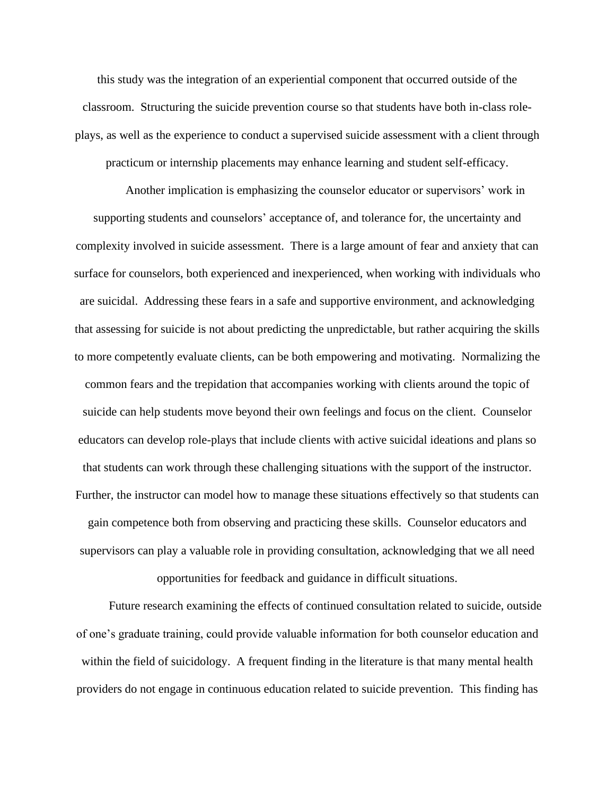this study was the integration of an experiential component that occurred outside of the classroom. Structuring the suicide prevention course so that students have both in-class roleplays, as well as the experience to conduct a supervised suicide assessment with a client through practicum or internship placements may enhance learning and student self-efficacy.

Another implication is emphasizing the counselor educator or supervisors' work in supporting students and counselors' acceptance of, and tolerance for, the uncertainty and complexity involved in suicide assessment. There is a large amount of fear and anxiety that can surface for counselors, both experienced and inexperienced, when working with individuals who are suicidal. Addressing these fears in a safe and supportive environment, and acknowledging that assessing for suicide is not about predicting the unpredictable, but rather acquiring the skills to more competently evaluate clients, can be both empowering and motivating. Normalizing the common fears and the trepidation that accompanies working with clients around the topic of suicide can help students move beyond their own feelings and focus on the client. Counselor educators can develop role-plays that include clients with active suicidal ideations and plans so that students can work through these challenging situations with the support of the instructor. Further, the instructor can model how to manage these situations effectively so that students can gain competence both from observing and practicing these skills. Counselor educators and supervisors can play a valuable role in providing consultation, acknowledging that we all need

opportunities for feedback and guidance in difficult situations.

Future research examining the effects of continued consultation related to suicide, outside of one's graduate training, could provide valuable information for both counselor education and within the field of suicidology. A frequent finding in the literature is that many mental health providers do not engage in continuous education related to suicide prevention. This finding has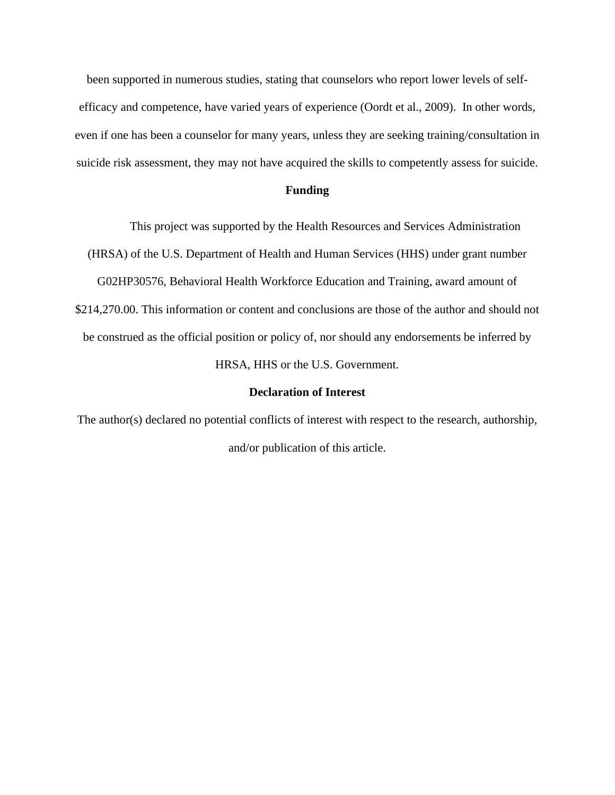been supported in numerous studies, stating that counselors who report lower levels of selfefficacy and competence, have varied years of experience (Oordt et al., 2009). In other words, even if one has been a counselor for many years, unless they are seeking training/consultation in suicide risk assessment, they may not have acquired the skills to competently assess for suicide.

# **Funding**

This project was supported by the Health Resources and Services Administration (HRSA) of the U.S. Department of Health and Human Services (HHS) under grant number G02HP30576, Behavioral Health Workforce Education and Training, award amount of \$214,270.00. This information or content and conclusions are those of the author and should not be construed as the official position or policy of, nor should any endorsements be inferred by HRSA, HHS or the U.S. Government.

# **Declaration of Interest**

The author(s) declared no potential conflicts of interest with respect to the research, authorship, and/or publication of this article.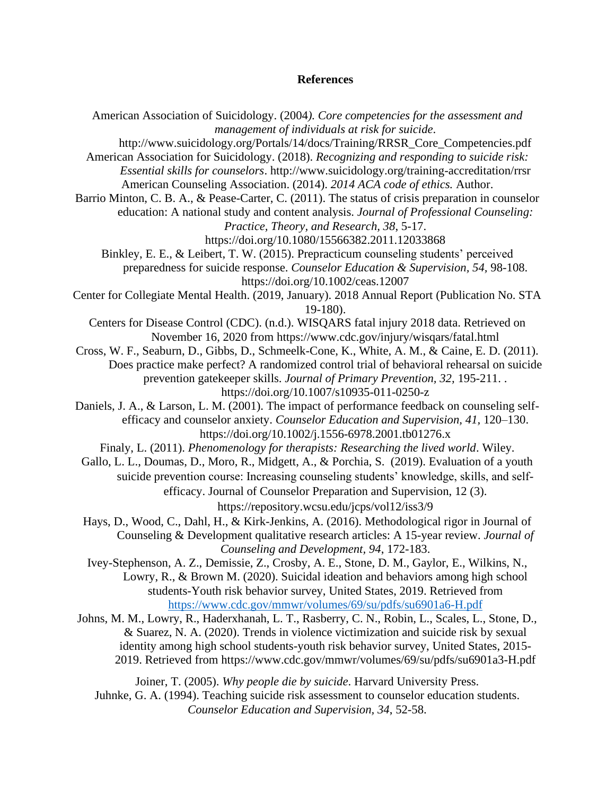### **References**

American Association of Suicidology. (2004*). Core competencies for the assessment and management of individuals at risk for suicide*. [http://www.suicidology.org/Portals/14/docs/Training/RRSR\\_Core\\_Competencies.pdf](http://www.suicidology.org/Portals/14/docs/Training/RRSR_Core_Competencies.pdf) American Association for Suicidology. (2018). *Recognizing and responding to suicide risk: Essential skills for counselors*. http://www.suicidology.org/training-accreditation/rrsr American Counseling Association. (2014). *2014 ACA code of ethics.* Author. Barrio Minton, C. B. A., & Pease-Carter, C. (2011). The status of crisis preparation in counselor education: A national study and content analysis. *Journal of Professional Counseling: Practice, Theory, and Research, 38*, 5-17. https://doi.org/10.1080/15566382.2011.12033868 Binkley, E. E., & Leibert, T. W. (2015). Prepracticum counseling students' perceived preparedness for suicide response. *Counselor Education & Supervision, 54,* 98-108. https://doi.org/10.1002/ceas.12007 Center for Collegiate Mental Health. (2019, January). 2018 Annual Report (Publication No. STA 19-180). Centers for Disease Control (CDC). (n.d.). WISQARS fatal injury 2018 data. Retrieved on November 16, 2020 from <https://www.cdc.gov/injury/wisqars/fatal.html> Cross, W. F., Seaburn, D., Gibbs, D., Schmeelk-Cone, K., White, A. M., & Caine, E. D. (2011). Does practice make perfect? A randomized control trial of behavioral rehearsal on suicide prevention gatekeeper skills. *Journal of Primary Prevention, 32,* 195-211. . https://doi.org/10.1007/s10935-011-0250-z Daniels, J. A., & Larson, L. M. (2001). The impact of performance feedback on counseling selfefficacy and counselor anxiety. *Counselor Education and Supervision, 41,* 120–130. https://doi.org/10.1002/j.1556-6978.2001.tb01276.x Finaly, L. (2011). *Phenomenology for therapists: Researching the lived world*. Wiley. Gallo, L. L., Doumas, D., Moro, R., Midgett, A., & Porchia, S. (2019). Evaluation of a youth suicide prevention course: Increasing counseling students' knowledge, skills, and selfefficacy. Journal of Counselor Preparation and Supervision, 12 (3). https://repository.wcsu.edu/jcps/vol12/iss3/9 Hays, D., Wood, C., Dahl, H., & Kirk-Jenkins, A. (2016). Methodological rigor in Journal of Counseling & Development qualitative research articles: A 15-year review. *Journal of Counseling and Development, 94*, 172-183. Ivey-Stephenson, A. Z., Demissie, Z., Crosby, A. E., Stone, D. M., Gaylor, E., Wilkins, N., Lowry, R., & Brown M. (2020). Suicidal ideation and behaviors among high school students-Youth risk behavior survey, United States, 2019. Retrieved from <https://www.cdc.gov/mmwr/volumes/69/su/pdfs/su6901a6-H.pdf> Johns, M. M., Lowry, R., Haderxhanah, L. T., Rasberry, C. N., Robin, L., Scales, L., Stone, D., & Suarez, N. A. (2020). Trends in violence victimization and suicide risk by sexual identity among high school students-youth risk behavior survey, United States, 2015- 2019. Retrieved from https://www.cdc.gov/mmwr/volumes/69/su/pdfs/su6901a3-H.pdf Joiner, T. (2005). *Why people die by suicide*. Harvard University Press. Juhnke, G. A. (1994). Teaching suicide risk assessment to counselor education students. *Counselor Education and Supervision, 34*, 52-58.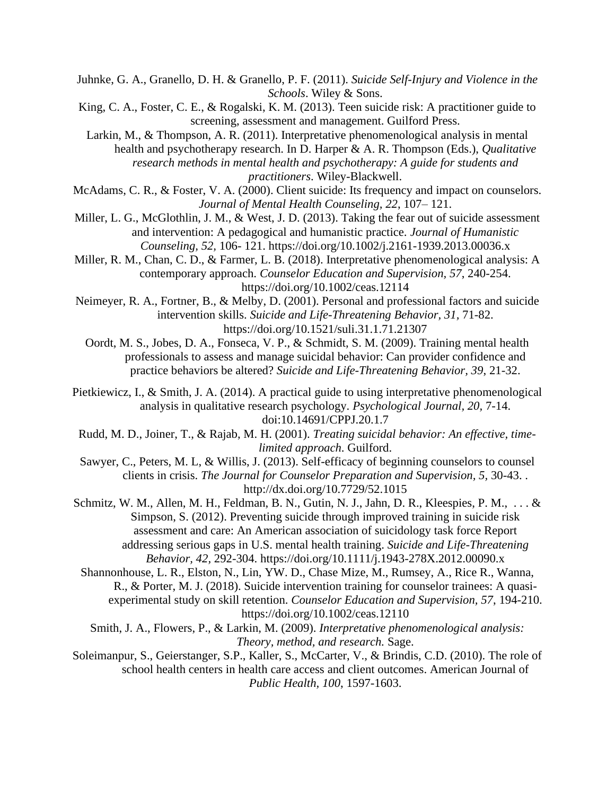Juhnke, G. A., Granello, D. H. & Granello, P. F. (2011). *Suicide Self-Injury and Violence in the Schools*. Wiley & Sons.

King, C. A., Foster, C. E., & Rogalski, K. M. (2013). Teen suicide risk: A practitioner guide to screening, assessment and management. Guilford Press.

Larkin, M., & Thompson, A. R. (2011). Interpretative phenomenological analysis in mental health and psychotherapy research. In D. Harper & A. R. Thompson (Eds.), *Qualitative research methods in mental health and psychotherapy: A guide for students and practitioners*. Wiley-Blackwell.

McAdams, C. R., & Foster, V. A. (2000). Client suicide: Its frequency and impact on counselors. *Journal of Mental Health Counseling, 22*, 107– 121.

Miller, L. G., McGlothlin, J. M., & West, J. D. (2013). Taking the fear out of suicide assessment and intervention: A pedagogical and humanistic practice. *Journal of Humanistic Counseling, 52,* 106- 121. https://doi.org/10.1002/j.2161-1939.2013.00036.x

Miller, R. M., Chan, C. D., & Farmer, L. B. (2018). Interpretative phenomenological analysis: A contemporary approach. *Counselor Education and Supervision, 57*, 240-254. https://doi.org/10.1002/ceas.12114

Neimeyer, R. A., Fortner, B., & Melby, D. (2001). Personal and professional factors and suicide intervention skills. *Suicide and Life-Threatening Behavior, 31,* 71-82. https://doi.org/10.1521/suli.31.1.71.21307

Oordt, M. S., Jobes, D. A., Fonseca, V. P., & Schmidt, S. M. (2009). Training mental health professionals to assess and manage suicidal behavior: Can provider confidence and practice behaviors be altered? *Suicide and Life-Threatening Behavior, 39*, 21-32.

Pietkiewicz, I., & Smith, J. A. (2014). A practical guide to using interpretative phenomenological analysis in qualitative research psychology. *Psychological Journal, 20,* 7-14. doi:10.14691/CPPJ.20.1.7

Rudd, M. D., Joiner, T., & Rajab, M. H. (2001). *Treating suicidal behavior: An effective, timelimited approach*. Guilford.

Sawyer, C., Peters, M. L, & Willis, J. (2013). Self-efficacy of beginning counselors to counsel clients in crisis. *The Journal for Counselor Preparation and Supervision, 5,* 30-43. . http://dx.doi.org/10.7729/52.1015

Schmitz, W. M., Allen, M. H., Feldman, B. N., Gutin, N. J., Jahn, D. R., Kleespies, P. M., . . . & Simpson, S. (2012). Preventing suicide through improved training in suicide risk assessment and care: An American association of suicidology task force Report addressing serious gaps in U.S. mental health training. *Suicide and Life-Threatening Behavior, 42,* 292-304. https://doi.org/10.1111/j.1943-278X.2012.00090.x

Shannonhouse, L. R., Elston, N., Lin, YW. D., Chase Mize, M., Rumsey, A., Rice R., Wanna, R., & Porter, M. J. (2018). Suicide intervention training for counselor trainees: A quasiexperimental study on skill retention. *Counselor Education and Supervision, 57*, 194-210. https://doi.org/10.1002/ceas.12110

Smith, J. A., Flowers, P., & Larkin, M. (2009). *Interpretative phenomenological analysis: Theory, method, and research.* Sage.

Soleimanpur, S., Geierstanger, S.P., Kaller, S., McCarter, V., & Brindis, C.D. (2010). The role of school health centers in health care access and client outcomes. American Journal of *Public Health, 100*, 1597-1603.